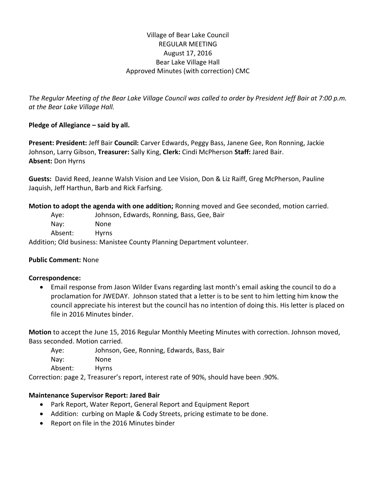## Village of Bear Lake Council REGULAR MEETING August 17, 2016 Bear Lake Village Hall Approved Minutes (with correction) CMC

*The Regular Meeting of the Bear Lake Village Council was called to order by President Jeff Bair at 7:00 p.m. at the Bear Lake Village Hall.*

## **Pledge of Allegiance – said by all.**

**Present: President:** Jeff Bair **Council:** Carver Edwards, Peggy Bass, Janene Gee, Ron Ronning, Jackie Johnson, Larry Gibson, **Treasurer:** Sally King, **Clerk:** Cindi McPherson **Staff:** Jared Bair. **Absent:** Don Hyrns

**Guests:** David Reed, Jeanne Walsh Vision and Lee Vision, Don & Liz Raiff, Greg McPherson, Pauline Jaquish, Jeff Harthun, Barb and Rick Farfsing.

**Motion to adopt the agenda with one addition;** Ronning moved and Gee seconded, motion carried.

Aye: Johnson, Edwards, Ronning, Bass, Gee, Bair

Nay: None Absent: Hyrns

Addition; Old business: Manistee County Planning Department volunteer.

## **Public Comment:** None

## **Correspondence:**

 Email response from Jason Wilder Evans regarding last month's email asking the council to do a proclamation for JWEDAY. Johnson stated that a letter is to be sent to him letting him know the council appreciate his interest but the council has no intention of doing this. His letter is placed on file in 2016 Minutes binder.

**Motion** to accept the June 15, 2016 Regular Monthly Meeting Minutes with correction. Johnson moved, Bass seconded. Motion carried.

Aye: Johnson, Gee, Ronning, Edwards, Bass, Bair Nay: None Absent: Hyrns

Correction: page 2, Treasurer's report, interest rate of 90%, should have been .90%.

## **Maintenance Supervisor Report: Jared Bair**

- Park Report, Water Report, General Report and Equipment Report
- Addition: curbing on Maple & Cody Streets, pricing estimate to be done.
- Report on file in the 2016 Minutes binder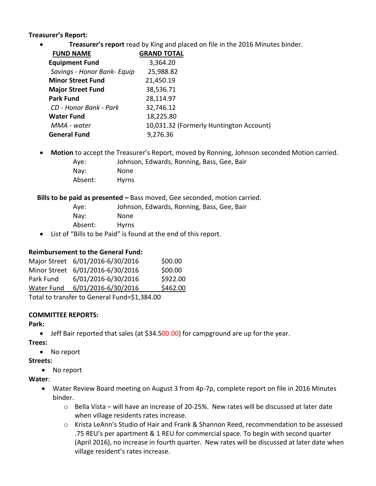## **Treasurer's Report:**

**Treasurer's report** read by King and placed on file in the 2016 Minutes binder.

| <b>FUND NAME</b>            | <b>GRAND TOTAL</b> |                                         |
|-----------------------------|--------------------|-----------------------------------------|
| <b>Equipment Fund</b>       | 3,364.20           |                                         |
| Savings - Honor Bank- Equip | 25,988.82          |                                         |
| <b>Minor Street Fund</b>    | 21,450.19          |                                         |
| <b>Major Street Fund</b>    | 38,536.71          |                                         |
| <b>Park Fund</b>            | 28,114.97          |                                         |
| CD - Honor Bank - Park      | 32,746.12          |                                         |
| <b>Water Fund</b>           | 18,225.80          |                                         |
| MMA - water                 |                    | 10,031.32 (Formerly Huntington Account) |
| <b>General Fund</b>         | 9,276.36           |                                         |
|                             |                    |                                         |

- **Motion** to accept the Treasurer's Report, moved by Ronning, Johnson seconded Motion carried.
	- Aye: Johnson, Edwards, Ronning, Bass, Gee, Bair
	- Nay: None Absent: Hyrns

#### **Bills to be paid as presented –** Bass moved, Gee seconded, motion carried.

| Ave:            | Johnson, Edwards, Ronning, Bass, Gee, Bair                                                                                                                                                                                                            |
|-----------------|-------------------------------------------------------------------------------------------------------------------------------------------------------------------------------------------------------------------------------------------------------|
| $\textsf{Nay}:$ | None                                                                                                                                                                                                                                                  |
| Absent:         | <b>Hyrns</b>                                                                                                                                                                                                                                          |
|                 | $\mathcal{L}(\mathcal{L}(\mathbf{C}^{\mathsf{H}})^{-1}$ , and the contract of the contract of the contract of the contract of the contract of the contract of the contract of the contract of the contract of the contract of the contract of the con |

List of "Bills to be Paid" is found at the end of this report.

## **Reimbursement to the General Fund:**

|                                                 | Major Street 6/01/2016-6/30/2016 | \$00.00  |  |  |  |  |
|-------------------------------------------------|----------------------------------|----------|--|--|--|--|
|                                                 | Minor Street 6/01/2016-6/30/2016 | \$00.00  |  |  |  |  |
| Park Fund                                       | 6/01/2016-6/30/2016              | \$922.00 |  |  |  |  |
| Water Fund                                      | 6/01/2016-6/30/2016              | \$462.00 |  |  |  |  |
| $Total to transform to Conoral Fund-ct1.294.00$ |                                  |          |  |  |  |  |

Total to transfer to General Fund=\$1,384.00

## **COMMITTEE REPORTS:**

**Park:** 

- Jeff Bair reported that sales (at \$34.500.00) for campground are up for the year.
- **Trees:** 
	- No report

## **Streets:**

• No report

## **Water**:

- Water Review Board meeting on August 3 from 4p-7p, complete report on file in 2016 Minutes binder.
	- $\circ$  Bella Vista will have an increase of 20-25%. New rates will be discussed at later date when village residents rates increase.
	- o Krista LeAnn's Studio of Hair and Frank & Shannon Reed, recommendation to be assessed .75 REU's per apartment & 1 REU for commercial space. To begin with second quarter (April 2016), no increase in fourth quarter. New rates will be discussed at later date when village resident's rates increase.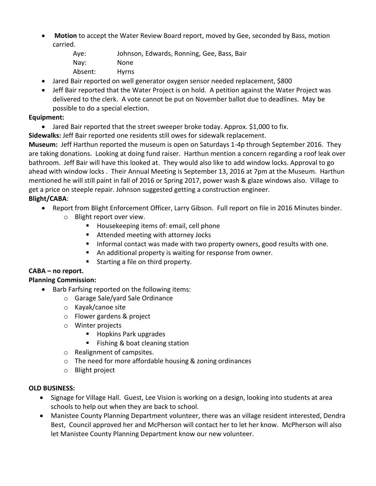- **Motion** to accept the Water Review Board report, moved by Gee, seconded by Bass, motion carried.
	- Aye: Johnson, Edwards, Ronning, Gee, Bass, Bair Nay: None Absent: Hyrns
- Jared Bair reported on well generator oxygen sensor needed replacement, \$800
- Jeff Bair reported that the Water Project is on hold. A petition against the Water Project was delivered to the clerk. A vote cannot be put on November ballot due to deadlines. May be possible to do a special election.

# **Equipment:**

- Jared Bair reported that the street sweeper broke today. Approx. \$1,000 to fix.
- **Sidewalks:** Jeff Bair reported one residents still owes for sidewalk replacement.

**Museum:** Jeff Harthun reported the museum is open on Saturdays 1-4p through September 2016. They are taking donations. Looking at doing fund raiser. Harthun mention a concern regarding a roof leak over bathroom. Jeff Bair will have this looked at. They would also like to add window locks. Approval to go ahead with window locks . Their Annual Meeting is September 13, 2016 at 7pm at the Museum. Harthun mentioned he will still paint in fall of 2016 or Spring 2017, power wash & glaze windows also. Village to get a price on steeple repair. Johnson suggested getting a construction engineer.

# **Blight/CABA**:

- Report from Blight Enforcement Officer, Larry Gibson. Full report on file in 2016 Minutes binder.
	- o Blight report over view.
		- **Housekeeping items of: email, cell phone**
		- Attended meeting with attorney Jocks
		- Informal contact was made with two property owners, good results with one.
		- An additional property is waiting for response from owner.
		- **Starting a file on third property.**

#### **CABA – no report. Planning Commission:**

- Barb Farfsing reported on the following items:
	- o Garage Sale/yard Sale Ordinance
	- o Kayak/canoe site
	- o Flower gardens & project
	- o Winter projects
		- Hopkins Park upgrades
		- Fishing & boat cleaning station
	- o Realignment of campsites.
	- o The need for more affordable housing & zoning ordinances
	- o Blight project

## **OLD BUSINESS:**

- Signage for Village Hall. Guest, Lee Vision is working on a design, looking into students at area schools to help out when they are back to school.
- Manistee County Planning Department volunteer, there was an village resident interested, Dendra Best, Council approved her and McPherson will contact her to let her know. McPherson will also let Manistee County Planning Department know our new volunteer.